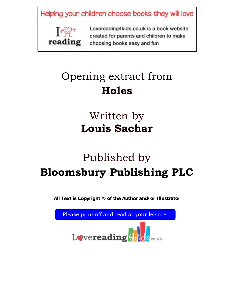#### Helping your children choose books they will love



Lovereading4kids.co.uk is a book website created for parents and children to make **Extrants** choosing books easy and fun

### Opening extract from **Holes**

### Written by **Louis Sachar**

## Published by **Bloomsbury Publishing PLC**

**All Text is Copyright © of the Author and/or Illustrator** 

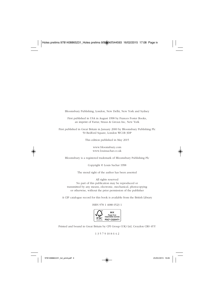Bloomsbury Publishing, London, New Delhi, New York and Sydney

First published in USA in August 1998 by Frances Foster Books, an imprint of Farrar, Straus & Giroux Inc, New York

First published in Great Britain in January 2000 by Bloomsbury Publishing Plc 50 Bedford Square, London WC1B 3DP

This edition published in May 2015

www.bloomsbury.com www.louissachar.co.uk

Bloomsbury is a registered trademark of Bloomsbury Publishing Plc

Copyright © Louis Sachar 1998

The moral right of the author has been asserted

All rights reserved No part of this publication may be reproduced or transmitted by any means, electronic, mechanical, photocopying or otherwise, without the prior permission of the publisher

A CIP catalogue record for this book is available from the British Library

ISBN 978 1 4088 6523 1



Printed and bound in Great Britain by CPI Group (UK) Ltd, Croydon CR0 4YY

1 3 5 7 9 10 8 6 4 2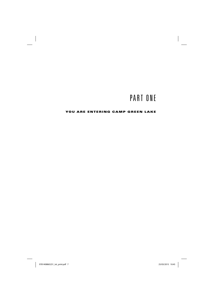### PART ONE

#### **YOU ARE ENTERING CAMP GREEN LAKE**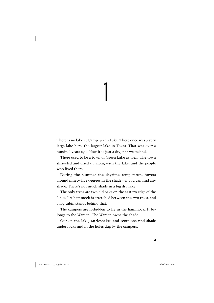# 1

There is no lake at Camp Green Lake. There once was a very large lake here, the largest lake in Texas. That was over a hundred years ago. Now it is just a dry, flat wasteland.

There used to be a town of Green Lake as well. The town shriveled and dried up along with the lake, and the people who lived there.

During the summer the daytime temperature hovers around ninety-five degrees in the shade—if you can find any shade. There's not much shade in a big dry lake.

The only trees are two old oaks on the eastern edge of the "lake." A hammock is stretched between the two trees, and a log cabin stands behind that.

The campers are forbidden to lie in the hammock. It belongs to the Warden. The Warden owns the shade.

Out on the lake, rattlesnakes and scorpions find shade under rocks and in the holes dug by the campers.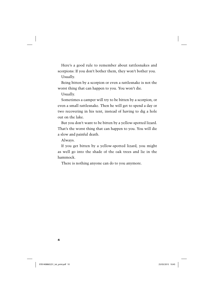Here's a good rule to remember about rattlesnakes and scorpions: If you don't bother them, they won't bother you.

Usually.

Being bitten by a scorpion or even a rattlesnake is not the worst thing that can happen to you. You won't die.

Usually.

Sometimes a camper will try to be bitten by a scorpion, or even a small rattlesnake. Then he will get to spend a day or two recovering in his tent, instead of having to dig a hole out on the lake.

But you don't want to be bitten by a yellow-spotted lizard. That's the worst thing that can happen to you. You will die a slow and painful death.

Always.

If you get bitten by a yellow-spotted lizard, you might as well go into the shade of the oak trees and lie in the hammock.

There is nothing anyone can do to you anymore.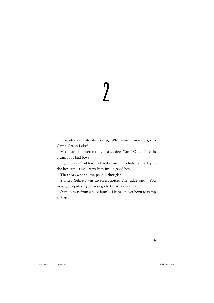# 2

The reader is probably asking: Why would anyone go to Camp Green Lake?

Most campers weren't given a choice. Camp Green Lake is a camp for bad boys.

If you take a bad boy and make him dig a hole every day in the hot sun, it will turn him into a good boy.

That was what some people thought.

Stanley Yelnats was given a choice. The judge said, "You may go to jail, or you may go to Camp Green Lake."

Stanley was from a poor family. He had never been to camp before.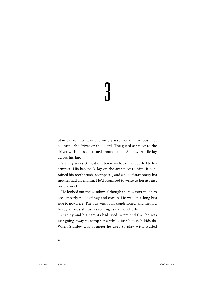# 3

Stanley Yelnats was the only passenger on the bus, not counting the driver or the guard. The guard sat next to the driver with his seat turned around facing Stanley. A rifle lay across his lap.

Stanley was sitting about ten rows back, handcuffed to his armrest. His backpack lay on the seat next to him. It contained his toothbrush, toothpaste, and a box of stationery his mother had given him. He'd promised to write to her at least once a week.

He looked out the window, although there wasn't much to see—mostly fields of hay and cotton. He was on a long bus ride to nowhere. The bus wasn't air-conditioned, and the hot, heavy air was almost as stifling as the handcuffs.

Stanley and his parents had tried to pretend that he was just going away to camp for a while, just like rich kids do. When Stanley was younger he used to play with stuffed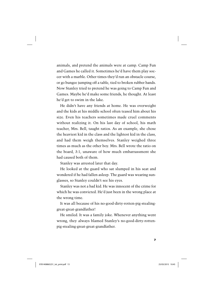animals, and pretend the animals were at camp. Camp Fun and Games he called it. Sometimes he'd have them play soccer with a marble. Other times they'd run an obstacle course, or go bungee jumping off a table, tied to broken rubber bands. Now Stanley tried to pretend he was going to Camp Fun and Games. Maybe he'd make some friends, he thought. At least he'd get to swim in the lake.

He didn't have any friends at home. He was overweight and the kids at his middle school often teased him about his size. Even his teachers sometimes made cruel comments without realizing it. On his last day of school, his math teacher, Mrs. Bell, taught ratios. As an example, she chose the heaviest kid in the class and the lightest kid in the class, and had them weigh themselves. Stanley weighed three times as much as the other boy. Mrs. Bell wrote the ratio on the board, 3:1, unaware of how much embarrassment she had caused both of them.

Stanley was arrested later that day.

He looked at the guard who sat slumped in his seat and wondered if he had fallen asleep. The guard was wearing sunglasses, so Stanley couldn't see his eyes.

Stanley was not a bad kid. He was innocent of the crime for which he was convicted. He'd just been in the wrong place at the wrong time.

It was all because of his no-good-dirty-rotten-pig-stealinggreat-great-grandfather!

He smiled. It was a family joke. Whenever anything went wrong, they always blamed Stanley's no-good-dirty-rottenpig-stealing-great-great-grandfather.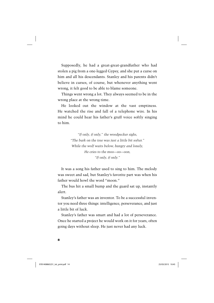Supposedly, he had a great-great-grandfather who had stolen a pig from a one-legged Gypsy, and she put a curse on him and all his descendants. Stanley and his parents didn't believe in curses, of course, but whenever anything went wrong, it felt good to be able to blame someone.

Things went wrong a lot. They always seemed to be in the wrong place at the wrong time.

He looked out the window at the vast emptiness. He watched the rise and fall of a telephone wire. In his mind he could hear his father's gruff voice softly singing to him.

> *"If only, if only," the woodpecker sighs, "The bark on the tree was just a little bit softer." While the wolf waits below, hungry and lonely, He cries to the moo—oo—oon, "If only, if only."*

It was a song his father used to sing to him. The melody was sweet and sad, but Stanley's favorite part was when his father would howl the word "moon."

The bus hit a small bump and the guard sat up, instantly alert.

Stanley's father was an inventor. To be a successful inventor you need three things: intelligence, perseverance, and just a little bit of luck.

Stanley's father was smart and had a lot of perseverance. Once he started a project he would work on it for years, often going days without sleep. He just never had any luck.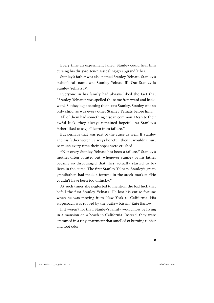Every time an experiment failed, Stanley could hear him cursing his dirty-rotten-pig-stealing-great-grandfather.

Stanley's father was also named Stanley Yelnats. Stanley's father's full name was Stanley Yelnats III. Our Stanley is Stanley Yelnats IV.

Everyone in his family had always liked the fact that "Stanley Yelnats" was spelled the same frontward and backward. So they kept naming their sons Stanley. Stanley was an only child, as was every other Stanley Yelnats before him.

All of them had something else in common. Despite their awful luck, they always remained hopeful. As Stanley's father liked to say, "I learn from failure."

But perhaps that was part of the curse as well. If Stanley and his father weren't always hopeful, then it wouldn't hurt so much every time their hopes were crushed.

"Not every Stanley Yelnats has been a failure," Stanley's mother often pointed out, whenever Stanley or his father became so discouraged that they actually started to believe in the curse. The first Stanley Yelnats, Stanley's greatgrandfather, had made a fortune in the stock market. "He couldn't have been too unlucky."

At such times she neglected to mention the bad luck that befell the first Stanley Yelnats. He lost his entire fortune when he was moving from New York to California. His stagecoach was robbed by the outlaw Kissin' Kate Barlow.

If it weren't for that, Stanley's family would now be living in a mansion on a beach in California. Instead, they were crammed in a tiny apartment that smelled of burning rubber and foot odor.